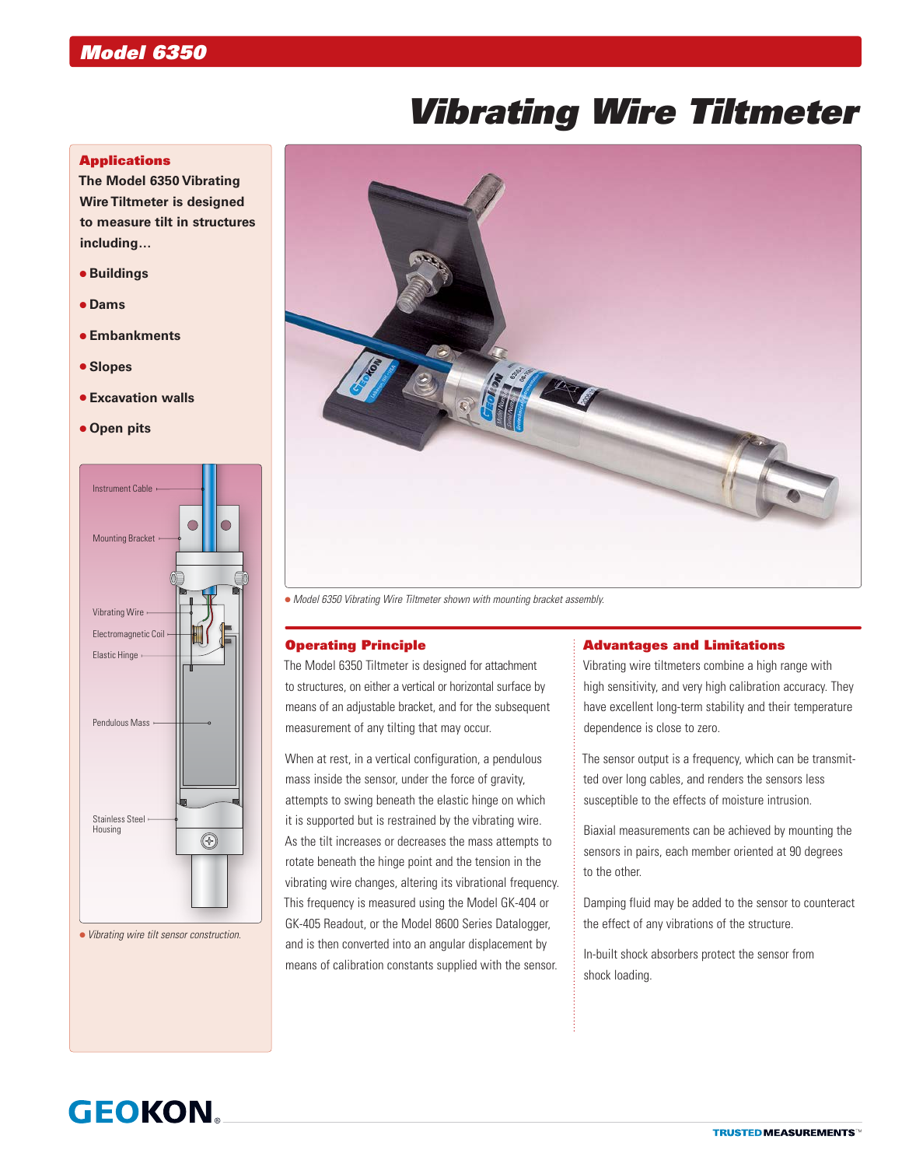# *Vibrating Wire Tiltmeter*

### **Applications**

**The Model 6350 Vibrating Wire Tiltmeter is designed to measure tilt in structures including…**

- **Buildings**
- **Dams**
- **Embankments**
- **Slopes**
- **Excavation walls**
- **Open pits**



*Vibrating wire tilt sensor construction.*



*Model 6350 Vibrating Wire Tiltmeter shown with mounting bracket assembly.*

#### Operating Principle

The Model 6350 Tiltmeter is designed for attachment to structures, on either a vertical or horizontal surface by means of an adjustable bracket, and for the subsequent measurement of any tilting that may occur.

When at rest, in a vertical configuration, a pendulous mass inside the sensor, under the force of gravity, attempts to swing beneath the elastic hinge on which it is supported but is restrained by the vibrating wire. As the tilt increases or decreases the mass attempts to rotate beneath the hinge point and the tension in the vibrating wire changes, altering its vibrational frequency. This frequency is measured using the Model GK-404 or GK-405 Readout, or the Model 8600 Series Datalogger, and is then converted into an angular displacement by means of calibration constants supplied with the sensor.

#### Advantages and Limitations

Vibrating wire tiltmeters combine a high range with high sensitivity, and very high calibration accuracy. They have excellent long-term stability and their temperature dependence is close to zero.

The sensor output is a frequency, which can be transmitted over long cables, and renders the sensors less susceptible to the effects of moisture intrusion.

Biaxial measurements can be achieved by mounting the sensors in pairs, each member oriented at 90 degrees to the other.

Damping fluid may be added to the sensor to counteract the effect of any vibrations of the structure.

In-built shock absorbers protect the sensor from shock loading.